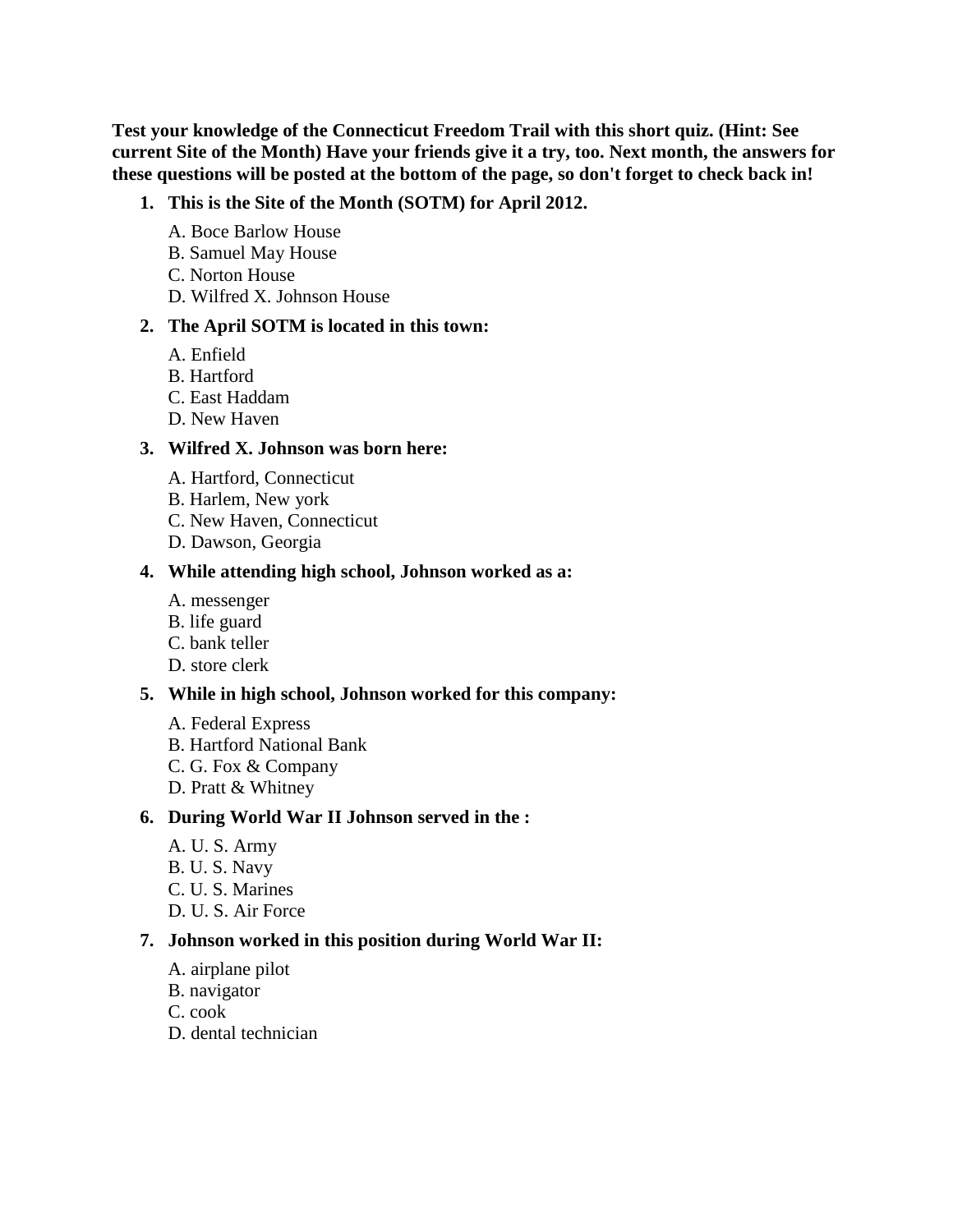**Test your knowledge of the Connecticut Freedom Trail with this short quiz. (Hint: See current Site of the Month) Have your friends give it a try, too. Next month, the answers for these questions will be posted at the bottom of the page, so don't forget to check back in!**

#### **1. This is the Site of the Month (SOTM) for April 2012.**

- A. Boce Barlow House
- B. Samuel May House
- C. Norton House
- D. Wilfred X. Johnson House

#### **2. The April SOTM is located in this town:**

- A. Enfield
- B. Hartford
- C. East Haddam
- D. New Haven

#### **3. Wilfred X. Johnson was born here:**

- A. Hartford, Connecticut
- B. Harlem, New york
- C. New Haven, Connecticut
- D. Dawson, Georgia

#### **4. While attending high school, Johnson worked as a:**

- A. messenger
- B. life guard
- C. bank teller
- D. store clerk

#### **5. While in high school, Johnson worked for this company:**

- A. Federal Express
- B. Hartford National Bank
- C. G. Fox & Company
- D. Pratt & Whitney

#### **6. During World War II Johnson served in the :**

- A. U. S. Army
- B. U. S. Navy
- C. U. S. Marines
- D. U. S. Air Force

#### **7. Johnson worked in this position during World War II:**

- A. airplane pilot
- B. navigator
- C. cook
- D. dental technician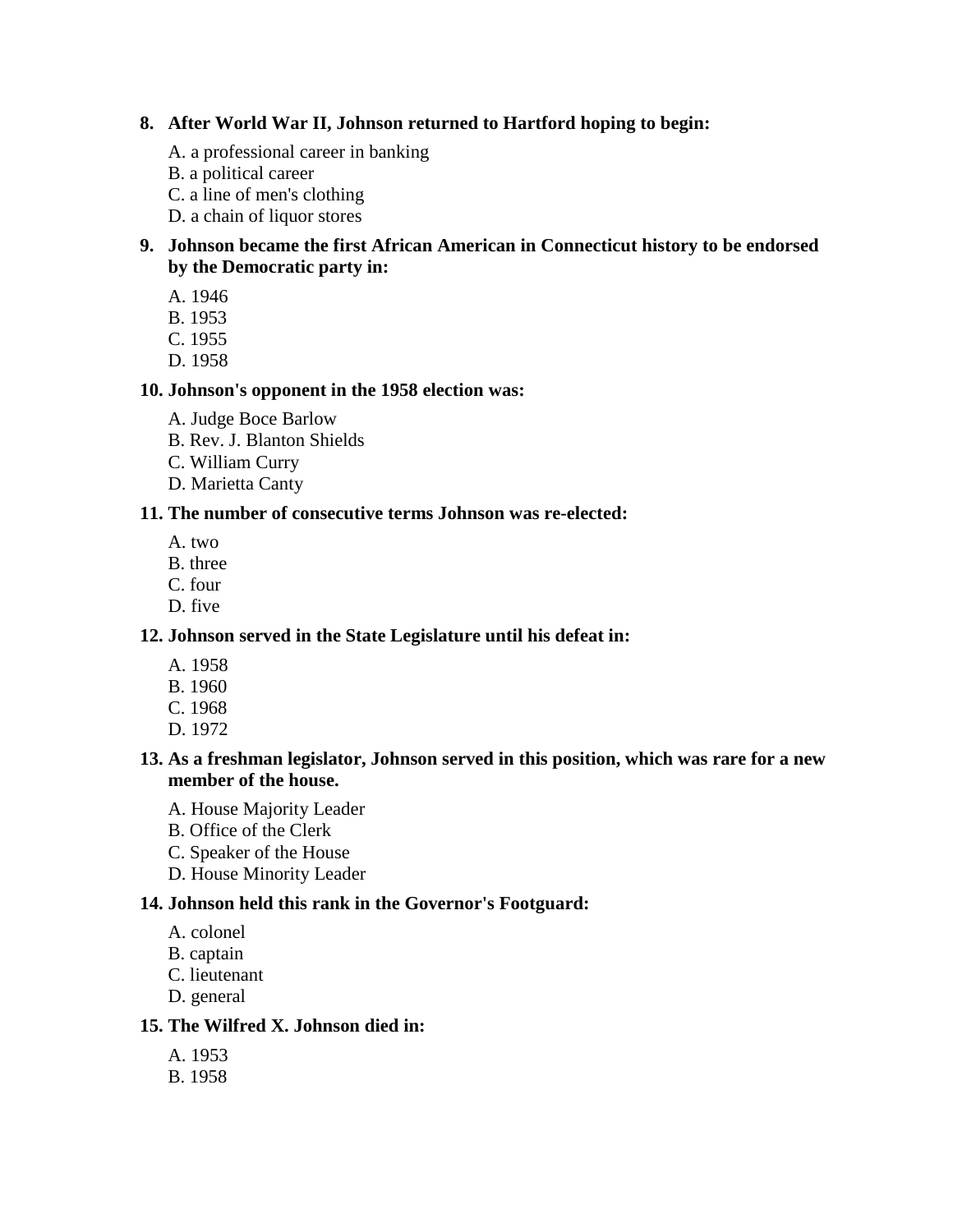### **8. After World War II, Johnson returned to Hartford hoping to begin:**

- A. a professional career in banking
- B. a political career
- C. a line of men's clothing
- D. a chain of liquor stores

### **9. Johnson became the first African American in Connecticut history to be endorsed by the Democratic party in:**

- A. 1946
- B. 1953
- C. 1955
- D. 1958

# **10. Johnson's opponent in the 1958 election was:**

- A. Judge Boce Barlow
- B. Rev. J. Blanton Shields
- C. William Curry
- D. Marietta Canty

### **11. The number of consecutive terms Johnson was re-elected:**

- A. two
- B. three
- C. four
- D. five

# **12. Johnson served in the State Legislature until his defeat in:**

- A. 1958
- B. 1960
- C. 1968
- D. 1972

### **13. As a freshman legislator, Johnson served in this position, which was rare for a new member of the house.**

- A. House Majority Leader
- B. Office of the Clerk
- C. Speaker of the House
- D. House Minority Leader

# **14. Johnson held this rank in the Governor's Footguard:**

- A. colonel
- B. captain
- C. lieutenant
- D. general

# **15. The Wilfred X. Johnson died in:**

- A. 1953
- B. 1958